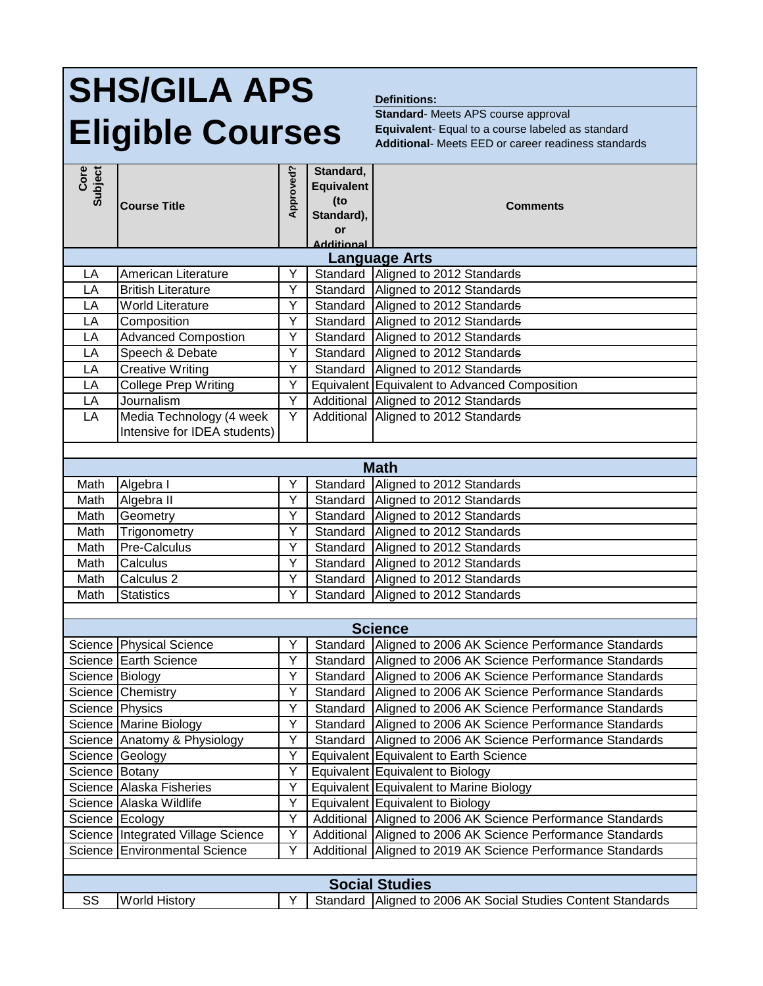## **SHS/GILA APS Eligible Courses**

## **Definitions:**

**Standard**- Meets APS course approval **Equivalent**- Equal to a course labeled as standard **Additional**- Meets EED or career readiness standards

| Subject<br>Core       |                                           | Approved? | Standard,<br><b>Equivalent</b><br>(t <sub>o</sub> ) |                                                             |  |  |  |
|-----------------------|-------------------------------------------|-----------|-----------------------------------------------------|-------------------------------------------------------------|--|--|--|
|                       | <b>Course Title</b>                       |           | Standard),                                          | <b>Comments</b>                                             |  |  |  |
|                       |                                           |           | or                                                  |                                                             |  |  |  |
| <b>Additional</b>     |                                           |           |                                                     |                                                             |  |  |  |
| <b>Language Arts</b>  |                                           |           |                                                     |                                                             |  |  |  |
| LA                    | American Literature                       | Y         | Standard                                            | Aligned to 2012 Standards                                   |  |  |  |
| LA                    | <b>British Literature</b>                 | Y<br>Y    | Standard                                            | Aligned to 2012 Standards                                   |  |  |  |
| LA<br>LA              | <b>World Literature</b>                   | Υ         | Standard<br>Standard                                | Aligned to 2012 Standards<br>Aligned to 2012 Standards      |  |  |  |
| LA                    | Composition<br><b>Advanced Compostion</b> | Υ         | Standard                                            | Aligned to 2012 Standards                                   |  |  |  |
| LA                    | Speech & Debate                           | Υ         | Standard                                            | Aligned to 2012 Standards                                   |  |  |  |
| LA                    | <b>Creative Writing</b>                   | Υ         | Standard                                            | Aligned to 2012 Standards                                   |  |  |  |
| LA                    | <b>College Prep Writing</b>               | Y         |                                                     | Equivalent Equivalent to Advanced Composition               |  |  |  |
| LA                    | Journalism                                | Ÿ         | Additional                                          | Aligned to 2012 Standards                                   |  |  |  |
| LA                    | Media Technology (4 week                  | Y         | Additional                                          | Aligned to 2012 Standards                                   |  |  |  |
|                       | Intensive for IDEA students)              |           |                                                     |                                                             |  |  |  |
|                       |                                           |           |                                                     |                                                             |  |  |  |
| <b>Math</b>           |                                           |           |                                                     |                                                             |  |  |  |
| Math                  | Algebra I                                 | Υ         | Standard                                            | Aligned to 2012 Standards                                   |  |  |  |
| Math                  | Algebra II                                | Υ         | Standard                                            | Aligned to 2012 Standards                                   |  |  |  |
| Math                  | Geometry                                  | Υ         | Standard                                            | Aligned to 2012 Standards                                   |  |  |  |
| Math                  | Trigonometry                              | Y         | Standard                                            | Aligned to 2012 Standards                                   |  |  |  |
| Math                  | Pre-Calculus                              | Υ         | Standard                                            | Aligned to 2012 Standards                                   |  |  |  |
| Math                  | Calculus                                  | Υ         | Standard                                            | Aligned to 2012 Standards                                   |  |  |  |
| Math                  | Calculus <sub>2</sub>                     | Y         | Standard                                            | Aligned to 2012 Standards                                   |  |  |  |
| Math                  | <b>Statistics</b>                         | Y         | Standard                                            | Aligned to 2012 Standards                                   |  |  |  |
|                       |                                           |           |                                                     |                                                             |  |  |  |
|                       |                                           |           |                                                     | <b>Science</b>                                              |  |  |  |
|                       | Science Physical Science                  | Υ         | Standard                                            | Aligned to 2006 AK Science Performance Standards            |  |  |  |
|                       | Science Earth Science                     | Υ         | Standard                                            | Aligned to 2006 AK Science Performance Standards            |  |  |  |
| Science Biology       |                                           | Y         | Standard                                            | Aligned to 2006 AK Science Performance Standards            |  |  |  |
|                       | Science Chemistry                         | Y         | Standard                                            | Aligned to 2006 AK Science Performance Standards            |  |  |  |
| Science   Physics     |                                           | Y         | Standard                                            | Aligned to 2006 AK Science Performance Standards            |  |  |  |
|                       | Science Marine Biology                    | Y         |                                                     | Standard Aligned to 2006 AK Science Performance Standards   |  |  |  |
|                       | Science Anatomy & Physiology              | Y         |                                                     | Standard   Aligned to 2006 AK Science Performance Standards |  |  |  |
|                       | Science Geology                           | Υ         |                                                     | Equivalent Equivalent to Earth Science                      |  |  |  |
| Science Botany        |                                           | Y         |                                                     | Equivalent Equivalent to Biology                            |  |  |  |
|                       | Science Alaska Fisheries                  | Y         |                                                     | Equivalent Equivalent to Marine Biology                     |  |  |  |
|                       | Science Alaska Wildlife                   | Y         |                                                     | Equivalent Equivalent to Biology                            |  |  |  |
|                       | Science Ecology                           | Y         | Additional                                          | Aligned to 2006 AK Science Performance Standards            |  |  |  |
|                       | Science Integrated Village Science        | Υ         | Additional                                          | Aligned to 2006 AK Science Performance Standards            |  |  |  |
|                       | Science Environmental Science             | Υ         | Additional                                          | Aligned to 2019 AK Science Performance Standards            |  |  |  |
|                       |                                           |           |                                                     |                                                             |  |  |  |
| <b>Social Studies</b> |                                           |           |                                                     |                                                             |  |  |  |
| SS                    | <b>World History</b>                      | Υ         | Standard                                            | Aligned to 2006 AK Social Studies Content Standards         |  |  |  |